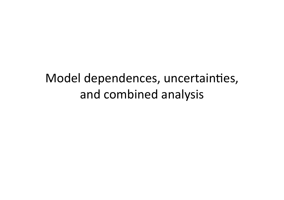#### Model dependences, uncertainties, and combined analysis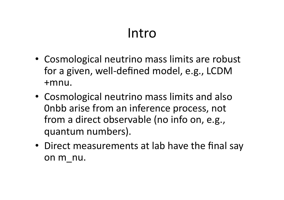### Intro&

- Cosmological neutrino mass limits are robust for a given, well-defined model, e.g., LCDM +mnu.&
- Cosmological neutrino mass limits and also Onbb arise from an inference process, not from a direct observable (no info on, e.g., quantum numbers).
- Direct measurements at lab have the final say on m nu.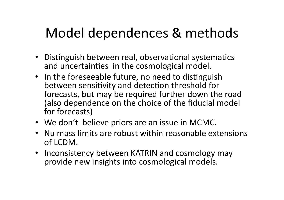## Model dependences & methods

- Distinguish between real, observational systematics and uncertainties in the cosmological model.
- In the foreseeable future, no need to distinguish between sensitivity and detection threshold for forecasts, but may be required further down the road (also dependence on the choice of the fiducial model for forecasts)
- We don't believe priors are an issue in MCMC.
- Nu mass limits are robust within reasonable extensions of LCDM.
- Inconsistency between KATRIN and cosmology may provide new insights into cosmological models.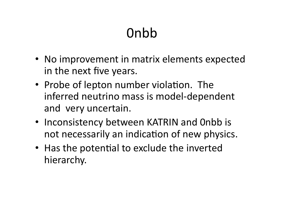# Onbb

- No improvement in matrix elements expected in the next five years.
- Probe of lepton number violation. The inferred neutrino mass is model-dependent and very uncertain.
- Inconsistency between KATRIN and Onbb is not necessarily an indication of new physics.
- Has the potential to exclude the inverted hierarchy.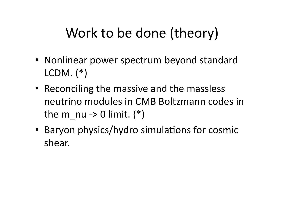## Work to be done (theory)

- Nonlinear power spectrum beyond standard  $LCDM.$   $(*)$
- Reconciling the massive and the massless neutrino modules in CMB Boltzmann codes in the m nu -> 0 limit.  $(*)$
- Baryon physics/hydro simulations for cosmic shear.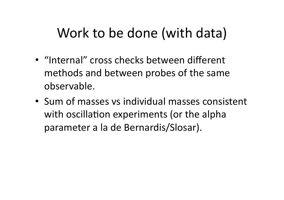### Work to be done (with data)

- "Internal" cross checks between different methods and between probes of the same observable.&
- Sum of masses vs individual masses consistent with oscillation experiments (or the alpha parameter a la de Bernardis/Slosar).